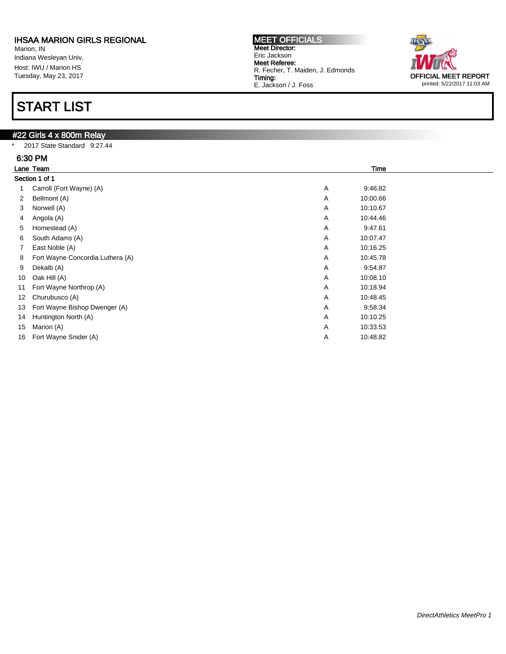Marion, IN Indiana Wesleyan Univ. Host: IWU / Marion HS Tuesday, May 23, 2017

# START LIST

### #22 Girls 4 x 800m Relay

\* 2017 State Standard 9:27.44

|    | 6:30 PM                          |                            |  |  |  |  |  |
|----|----------------------------------|----------------------------|--|--|--|--|--|
|    | Lane Team                        | <b>Time</b>                |  |  |  |  |  |
|    | Section 1 of 1                   |                            |  |  |  |  |  |
|    | Carroll (Fort Wayne) (A)         | 9:46.82<br>Α               |  |  |  |  |  |
| 2  | Bellmont (A)                     | Α<br>10:00.66              |  |  |  |  |  |
| 3  | Norwell (A)                      | Α<br>10:10.67              |  |  |  |  |  |
| 4  | Angola (A)                       | Α<br>10:44.46              |  |  |  |  |  |
| 5  | Homestead (A)                    | Α<br>9:47.61               |  |  |  |  |  |
| 6  | South Adams (A)                  | Α<br>10:07.47              |  |  |  |  |  |
| 7  | East Noble (A)                   | Α<br>10:16.25              |  |  |  |  |  |
| 8  | Fort Wayne Concordia Luthera (A) | A<br>10:45.78              |  |  |  |  |  |
| 9  | Dekalb (A)                       | Α<br>9:54.87               |  |  |  |  |  |
| 10 | Oak Hill (A)                     | Α<br>10:08.10              |  |  |  |  |  |
| 11 | Fort Wayne Northrop (A)          | A<br>10:18.94              |  |  |  |  |  |
| 12 | Churubusco (A)                   | Α<br>10:48.45              |  |  |  |  |  |
| 13 | Fort Wayne Bishop Dwenger (A)    | Α<br>9:58.34               |  |  |  |  |  |
| 14 | Huntington North (A)             | Α<br>10:10.25              |  |  |  |  |  |
| 15 | Marion (A)                       | $\overline{A}$<br>10:33.53 |  |  |  |  |  |
| 16 | Fort Wayne Snider (A)            | Α<br>10:48.82              |  |  |  |  |  |

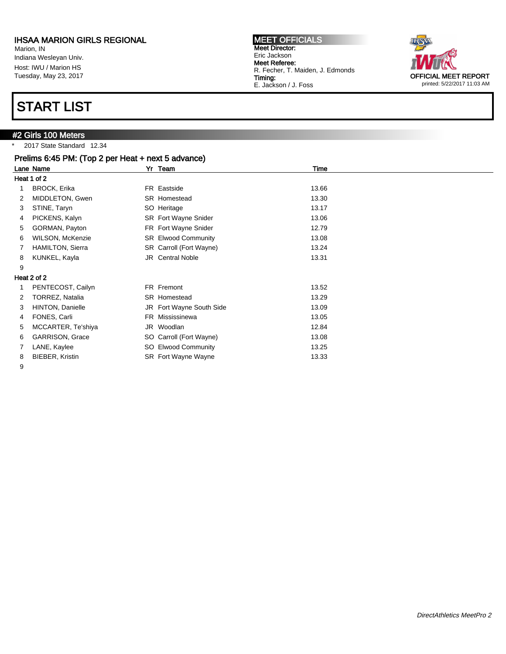Marion, IN Indiana Wesleyan Univ. Host: IWU / Marion HS Tuesday, May 23, 2017

# START LIST

### **#2 Girls 100 Meters**

\* 2017 State Standard 12.34

|   | Prelims 6:45 PM: (Top 2 per Heat + next 5 advance) |                                      |  |
|---|----------------------------------------------------|--------------------------------------|--|
|   | Lane Name                                          | Yr Team<br>Time                      |  |
|   | Heat 1 of 2                                        |                                      |  |
|   | <b>BROCK, Erika</b>                                | 13.66<br>FR Eastside                 |  |
| 2 | MIDDLETON, Gwen                                    | 13.30<br>SR Homestead                |  |
| 3 | STINE, Taryn                                       | SO Heritage<br>13.17                 |  |
| 4 | PICKENS, Kalyn                                     | <b>SR</b> Fort Wayne Snider<br>13.06 |  |
| 5 | GORMAN, Payton                                     | FR Fort Wayne Snider<br>12.79        |  |
| 6 | WILSON, McKenzie                                   | SR Elwood Community<br>13.08         |  |
| 7 | <b>HAMILTON, Sierra</b>                            | SR Carroll (Fort Wayne)<br>13.24     |  |
| 8 | KUNKEL, Kayla                                      | <b>JR</b> Central Noble<br>13.31     |  |
| 9 |                                                    |                                      |  |
|   | Heat 2 of 2                                        |                                      |  |
|   | PENTECOST, Cailyn                                  | FR Fremont<br>13.52                  |  |
| 2 | <b>TORREZ, Natalia</b>                             | 13.29<br>SR Homestead                |  |
| 3 | HINTON, Danielle                                   | JR Fort Wayne South Side<br>13.09    |  |
| 4 | FONES, Carli                                       | FR Mississinewa<br>13.05             |  |
| 5 | MCCARTER, Te'shiya                                 | JR Woodlan<br>12.84                  |  |
| 6 | <b>GARRISON, Grace</b>                             | SO Carroll (Fort Wayne)<br>13.08     |  |
|   | LANE, Kaylee                                       | SO Elwood Community<br>13.25         |  |
| 8 | BIEBER, Kristin                                    | SR Fort Wayne Wayne<br>13.33         |  |

9



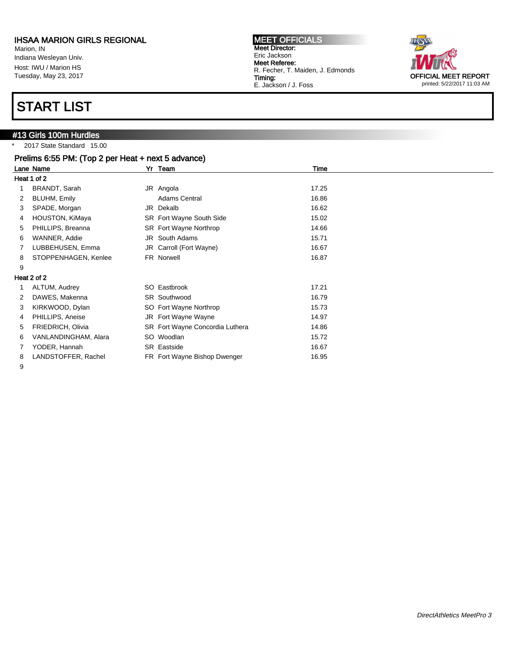Marion, IN Indiana Wesleyan Univ. Host: IWU / Marion HS Tuesday, May 23, 2017

## START LIST

# #13 Girls 100m Hurdles

\* 2017 State Standard 15.00

|   | Prelims 6:55 PM: (Top 2 per Heat + next 5 advance) |  |                                 |       |  |  |  |
|---|----------------------------------------------------|--|---------------------------------|-------|--|--|--|
|   | Lane Name                                          |  | Yr Team                         | Time  |  |  |  |
|   | Heat 1 of 2                                        |  |                                 |       |  |  |  |
|   | BRANDT, Sarah                                      |  | JR Angola                       | 17.25 |  |  |  |
| 2 | BLUHM, Emily                                       |  | Adams Central                   | 16.86 |  |  |  |
| 3 | SPADE, Morgan                                      |  | JR Dekalb                       | 16.62 |  |  |  |
| 4 | HOUSTON, KiMaya                                    |  | SR Fort Wayne South Side        | 15.02 |  |  |  |
| 5 | PHILLIPS, Breanna                                  |  | SR Fort Wayne Northrop          | 14.66 |  |  |  |
| 6 | WANNER, Addie                                      |  | JR South Adams                  | 15.71 |  |  |  |
|   | LUBBEHUSEN, Emma                                   |  | JR Carroll (Fort Wayne)         | 16.67 |  |  |  |
| 8 | STOPPENHAGEN, Kenlee                               |  | FR Norwell                      | 16.87 |  |  |  |
| 9 |                                                    |  |                                 |       |  |  |  |
|   | Heat 2 of 2                                        |  |                                 |       |  |  |  |
|   | ALTUM, Audrey                                      |  | SO Eastbrook                    | 17.21 |  |  |  |
| 2 | DAWES, Makenna                                     |  | SR Southwood                    | 16.79 |  |  |  |
| 3 | KIRKWOOD, Dylan                                    |  | SO Fort Wayne Northrop          | 15.73 |  |  |  |
| 4 | PHILLIPS, Aneise                                   |  | JR Fort Wayne Wayne             | 14.97 |  |  |  |
| 5 | FRIEDRICH, Olivia                                  |  | SR Fort Wayne Concordia Luthera | 14.86 |  |  |  |
| 6 | VANLANDINGHAM, Alara                               |  | SO Woodlan                      | 15.72 |  |  |  |
|   | YODER, Hannah                                      |  | <b>SR</b> Eastside              | 16.67 |  |  |  |
| 8 | LANDSTOFFER, Rachel                                |  | FR Fort Wayne Bishop Dwenger    | 16.95 |  |  |  |

Meet Director: Eric Jackson Meet Referee:

Timing:

9



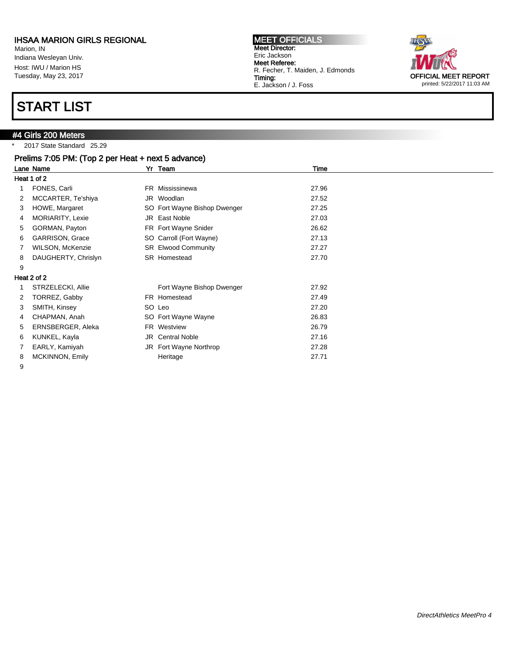Marion, IN Indiana Wesleyan Univ. Host: IWU / Marion HS Tuesday, May 23, 2017

# START LIST

#### #4 Girls 200 Meters

\* 2017 State Standard 25.29

| Prelims 7:05 PM: (Top 2 per Heat + next 5 advance) |                          |  |                              |       |  |
|----------------------------------------------------|--------------------------|--|------------------------------|-------|--|
|                                                    | Lane Name                |  | Yr Team                      | Time  |  |
|                                                    | Heat 1 of 2              |  |                              |       |  |
|                                                    | FONES, Carli             |  | FR Mississinewa              | 27.96 |  |
|                                                    | MCCARTER, Te'shiya       |  | JR Woodlan                   | 27.52 |  |
| 3                                                  | HOWE, Margaret           |  | SO Fort Wayne Bishop Dwenger | 27.25 |  |
| 4                                                  | MORIARITY, Lexie         |  | JR East Noble                | 27.03 |  |
| 5                                                  | GORMAN, Payton           |  | FR Fort Wayne Snider         | 26.62 |  |
| 6                                                  | <b>GARRISON, Grace</b>   |  | SO Carroll (Fort Wayne)      | 27.13 |  |
|                                                    | WILSON, McKenzie         |  | <b>SR</b> Elwood Community   | 27.27 |  |
| 8                                                  | DAUGHERTY, Chrislyn      |  | <b>SR</b> Homestead          | 27.70 |  |
| 9                                                  |                          |  |                              |       |  |
|                                                    | Heat 2 of 2              |  |                              |       |  |
|                                                    | STRZELECKI, Allie        |  | Fort Wayne Bishop Dwenger    | 27.92 |  |
| 2                                                  | TORREZ, Gabby            |  | FR Homestead                 | 27.49 |  |
| 3                                                  | SMITH, Kinsey            |  | SO Leo                       | 27.20 |  |
| 4                                                  | CHAPMAN, Anah            |  | SO Fort Wayne Wayne          | 26.83 |  |
| 5                                                  | <b>ERNSBERGER, Aleka</b> |  | FR Westview                  | 26.79 |  |
| 6                                                  | KUNKEL, Kayla            |  | <b>JR</b> Central Noble      | 27.16 |  |
|                                                    | EARLY, Kamiyah           |  | JR Fort Wayne Northrop       | 27.28 |  |
| 8                                                  | <b>MCKINNON, Emily</b>   |  | Heritage                     | 27.71 |  |

9



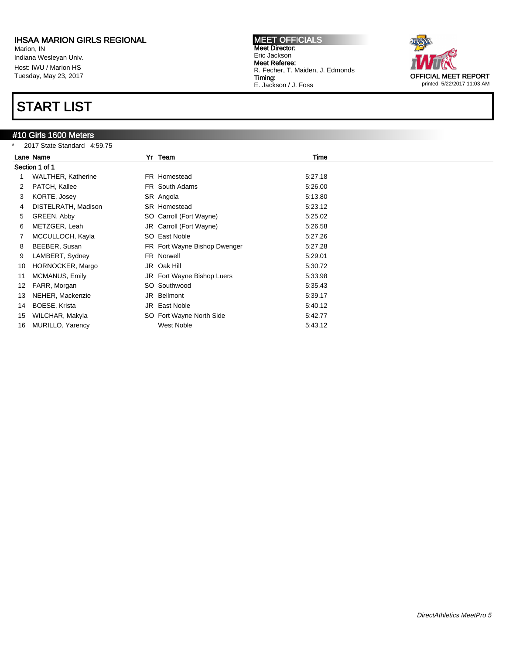Marion, IN Indiana Wesleyan Univ. Host: IWU / Marion HS Tuesday, May 23, 2017

## START LIST

### #10 Girls 1600 Meters

\* 2017 State Standard 4:59.75



| *  | 2017 State Standard 4:59.75 |                              |         |  |
|----|-----------------------------|------------------------------|---------|--|
|    | Lane Name                   | Yr Team                      | Time    |  |
|    | Section 1 of 1              |                              |         |  |
|    | <b>WALTHER, Katherine</b>   | FR Homestead                 | 5:27.18 |  |
|    | PATCH, Kallee               | FR South Adams               | 5:26.00 |  |
| 3  | KORTE, Josey                | SR Angola                    | 5:13.80 |  |
| 4  | DISTELRATH, Madison         | SR Homestead                 | 5:23.12 |  |
| 5  | GREEN, Abby                 | SO Carroll (Fort Wayne)      | 5:25.02 |  |
| 6  | METZGER, Leah               | JR Carroll (Fort Wayne)      | 5:26.58 |  |
|    | MCCULLOCH, Kayla            | SO East Noble                | 5:27.26 |  |
| 8  | BEEBER, Susan               | FR Fort Wayne Bishop Dwenger | 5:27.28 |  |
| 9  | LAMBERT, Sydney             | FR Norwell                   | 5:29.01 |  |
| 10 | HORNOCKER, Margo            | JR Oak Hill                  | 5:30.72 |  |
| 11 | MCMANUS, Emily              | JR Fort Wayne Bishop Luers   | 5:33.98 |  |
| 12 | FARR, Morgan                | SO Southwood                 | 5:35.43 |  |
| 13 | NEHER, Mackenzie            | JR Bellmont                  | 5:39.17 |  |
| 14 | BOESE, Krista               | JR East Noble                | 5:40.12 |  |
| 15 | WILCHAR, Makyla             | SO Fort Wayne North Side     | 5:42.77 |  |
| 16 | <b>MURILLO, Yarency</b>     | West Noble                   | 5:43.12 |  |
|    |                             |                              |         |  |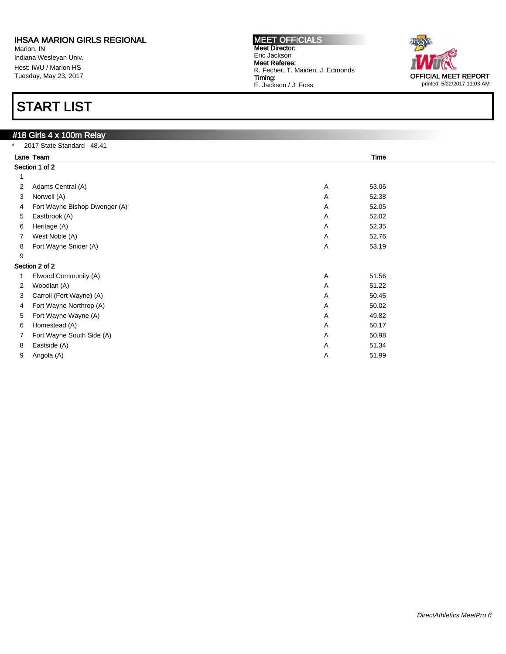Marion, IN Indiana Wesleyan Univ. Host: IWU / Marion HS Tuesday, May 23, 2017

# START LIST

|                   | #18 Girls 4 x 100m Relay      |                         |  |  |  |  |
|-------------------|-------------------------------|-------------------------|--|--|--|--|
| $\star$           | 2017 State Standard 48.41     |                         |  |  |  |  |
| Lane Team<br>Time |                               |                         |  |  |  |  |
|                   | Section 1 of 2                |                         |  |  |  |  |
|                   |                               |                         |  |  |  |  |
| 2                 | Adams Central (A)             | Α<br>53.06              |  |  |  |  |
| 3                 | Norwell (A)                   | A<br>52.38              |  |  |  |  |
| 4                 | Fort Wayne Bishop Dwenger (A) | $\overline{A}$<br>52.05 |  |  |  |  |
| 5                 | Eastbrook (A)                 | 52.02<br>Α              |  |  |  |  |
| 6                 | Heritage (A)                  | $\overline{A}$<br>52.35 |  |  |  |  |
| 7                 | West Noble (A)                | 52.76<br>A              |  |  |  |  |
| 8                 | Fort Wayne Snider (A)         | Α<br>53.19              |  |  |  |  |
| 9                 |                               |                         |  |  |  |  |
|                   | Section 2 of 2                |                         |  |  |  |  |
|                   | Elwood Community (A)          | $\overline{A}$<br>51.56 |  |  |  |  |
| 2                 | Woodlan (A)                   | $\overline{A}$<br>51.22 |  |  |  |  |
| 3                 | Carroll (Fort Wayne) (A)      | 50.45<br>Α              |  |  |  |  |
| 4                 | Fort Wayne Northrop (A)       | $\overline{A}$<br>50.02 |  |  |  |  |
| 5                 | Fort Wayne Wayne (A)          | A<br>49.82              |  |  |  |  |
| 6                 | Homestead (A)                 | 50.17<br>$\overline{A}$ |  |  |  |  |
| 7                 | Fort Wayne South Side (A)     | $\overline{A}$<br>50.98 |  |  |  |  |
| 8                 | Eastside (A)                  | A<br>51.34              |  |  |  |  |
| 9                 | Angola (A)                    | A<br>51.99              |  |  |  |  |

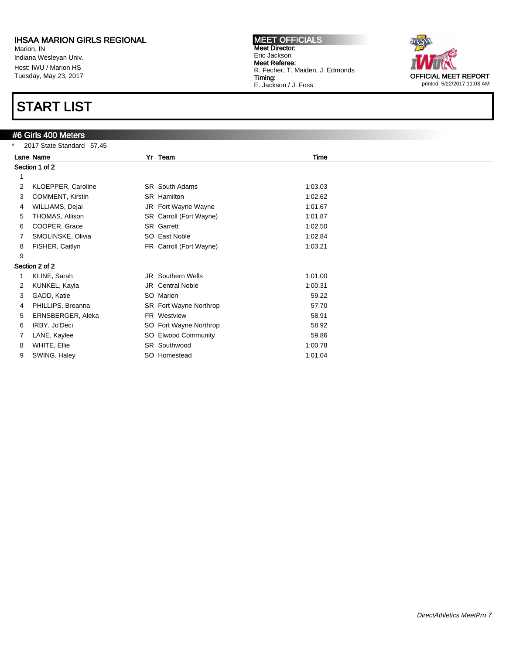Marion, IN Indiana Wesleyan Univ. Host: IWU / Marion HS Tuesday, May 23, 2017

# START LIST

### #6 Girls 400 Meters

|   | 2017 State Standard 57.45 |  |                          |         |  |  |
|---|---------------------------|--|--------------------------|---------|--|--|
|   | Lane Name                 |  | Yr Team                  | Time    |  |  |
|   | Section 1 of 2            |  |                          |         |  |  |
|   |                           |  |                          |         |  |  |
| 2 | KLOEPPER, Caroline        |  | <b>SR</b> South Adams    | 1:03.03 |  |  |
| 3 | COMMENT, Kirstin          |  | SR Hamilton              | 1:02.62 |  |  |
| 4 | WILLIAMS, Dejai           |  | JR Fort Wayne Wayne      | 1:01.67 |  |  |
| 5 | THOMAS, Allison           |  | SR Carroll (Fort Wayne)  | 1:01.87 |  |  |
| 6 | COOPER, Grace             |  | SR Garrett               | 1:02.50 |  |  |
|   | SMOLINSKE, Olivia         |  | SO East Noble            | 1:02.84 |  |  |
| 8 | FISHER, Caitlyn           |  | FR Carroll (Fort Wayne)  | 1:03.21 |  |  |
| 9 |                           |  |                          |         |  |  |
|   | Section 2 of 2            |  |                          |         |  |  |
|   | KLINE, Sarah              |  | <b>JR</b> Southern Wells | 1:01.00 |  |  |
| 2 | KUNKEL, Kayla             |  | <b>JR</b> Central Noble  | 1:00.31 |  |  |
| 3 | GADD, Katie               |  | SO Marion                | 59.22   |  |  |
| 4 | PHILLIPS, Breanna         |  | SR Fort Wayne Northrop   | 57.70   |  |  |
| 5 | ERNSBERGER, Aleka         |  | FR Westview              | 58.91   |  |  |
| 6 | IRBY, Jo'Deci             |  | SO Fort Wayne Northrop   | 58.92   |  |  |
|   | LANE, Kaylee              |  | SO Elwood Community      | 59.86   |  |  |
| 8 | WHITE, Ellie              |  | SR Southwood             | 1:00.78 |  |  |
| 9 | SWING, Haley              |  | SO Homestead             | 1:01.04 |  |  |
|   |                           |  |                          |         |  |  |

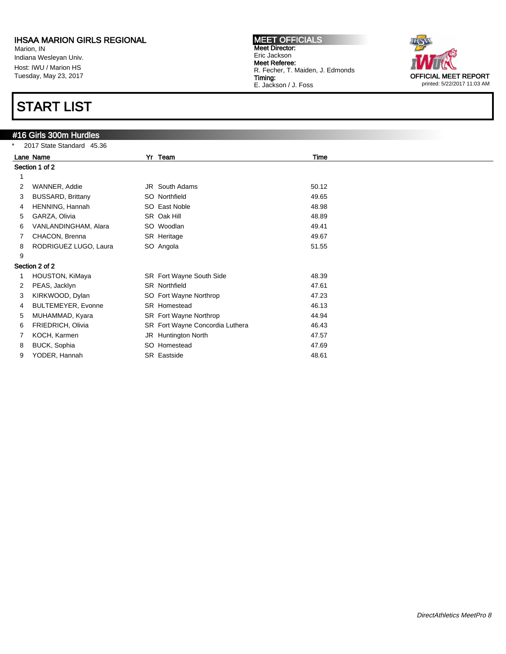Marion, IN Indiana Wesleyan Univ. Host: IWU / Marion HS Tuesday, May 23, 2017

# START LIST

### #16 Girls 300m Hurdles

|   | 2017 State Standard 45.36 |  |                                 |       |  |  |  |
|---|---------------------------|--|---------------------------------|-------|--|--|--|
|   | Lane Name                 |  | Yr Team                         | Time  |  |  |  |
|   | Section 1 of 2            |  |                                 |       |  |  |  |
|   |                           |  |                                 |       |  |  |  |
| 2 | WANNER, Addie             |  | JR South Adams                  | 50.12 |  |  |  |
| 3 | <b>BUSSARD, Brittany</b>  |  | SO Northfield                   | 49.65 |  |  |  |
| 4 | HENNING, Hannah           |  | SO East Noble                   | 48.98 |  |  |  |
| 5 | GARZA, Olivia             |  | SR Oak Hill                     | 48.89 |  |  |  |
| 6 | VANLANDINGHAM, Alara      |  | SO Woodlan                      | 49.41 |  |  |  |
|   | CHACON, Brenna            |  | SR Heritage                     | 49.67 |  |  |  |
| 8 | RODRIGUEZ LUGO, Laura     |  | SO Angola                       | 51.55 |  |  |  |
| 9 |                           |  |                                 |       |  |  |  |
|   | Section 2 of 2            |  |                                 |       |  |  |  |
|   | HOUSTON, KiMaya           |  | SR Fort Wayne South Side        | 48.39 |  |  |  |
| 2 | PEAS, Jacklyn             |  | <b>SR</b> Northfield            | 47.61 |  |  |  |
| 3 | KIRKWOOD, Dylan           |  | SO Fort Wayne Northrop          | 47.23 |  |  |  |
| 4 | <b>BULTEMEYER, Evonne</b> |  | SR Homestead                    | 46.13 |  |  |  |
| 5 | MUHAMMAD, Kyara           |  | SR Fort Wayne Northrop          | 44.94 |  |  |  |
| 6 | FRIEDRICH, Olivia         |  | SR Fort Wayne Concordia Luthera | 46.43 |  |  |  |
|   | KOCH, Karmen              |  | JR Huntington North             | 47.57 |  |  |  |
| 8 | <b>BUCK, Sophia</b>       |  | SO Homestead                    | 47.69 |  |  |  |
| 9 | YODER, Hannah             |  | SR Eastside                     | 48.61 |  |  |  |
|   |                           |  |                                 |       |  |  |  |

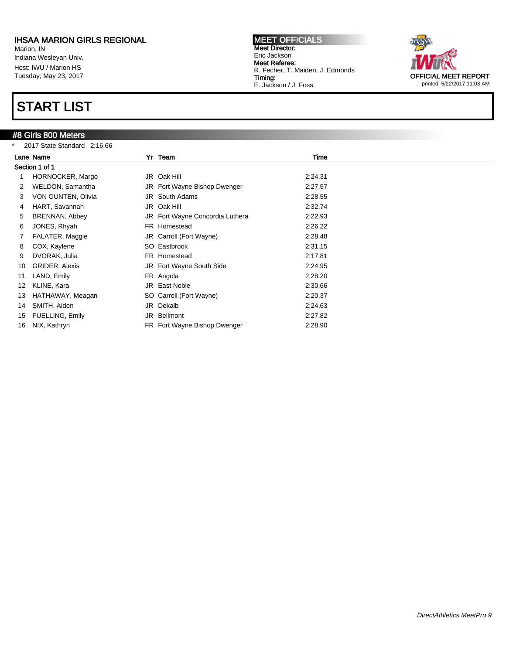Marion, IN Indiana Wesleyan Univ. Host: IWU / Marion HS Tuesday, May 23, 2017

## START LIST

#### #8 Girls 800 Meters

| $\ast$ | 2017 State Standard 2:16.66 |  |                                 |         |  |  |
|--------|-----------------------------|--|---------------------------------|---------|--|--|
|        | Lane Name                   |  | Yr Team                         | Time    |  |  |
|        | Section 1 of 1              |  |                                 |         |  |  |
|        | HORNOCKER, Margo            |  | JR Oak Hill                     | 2:24.31 |  |  |
| 2      | WELDON, Samantha            |  | JR Fort Wayne Bishop Dwenger    | 2:27.57 |  |  |
|        | VON GUNTEN, Olivia          |  | <b>JR</b> South Adams           | 2:28.55 |  |  |
| 4      | HART, Savannah              |  | JR Oak Hill                     | 2:32.74 |  |  |
| 5      | <b>BRENNAN, Abbey</b>       |  | JR Fort Wayne Concordia Luthera | 2:22.93 |  |  |
| 6      | JONES, Rhyah                |  | FR Homestead                    | 2:26.22 |  |  |
|        | FALATER, Maggie             |  | JR Carroll (Fort Wayne)         | 2:28.48 |  |  |
| 8      | COX, Kaylene                |  | SO Eastbrook                    | 2:31.15 |  |  |
| 9      | DVORAK, Julia               |  | FR Homestead                    | 2:17.81 |  |  |
| 10     | <b>GRIDER, Alexis</b>       |  | JR Fort Wayne South Side        | 2:24.95 |  |  |
| 11     | LAND, Emily                 |  | FR Angola                       | 2:28.20 |  |  |
| 12     | KLINE, Kara                 |  | JR East Noble                   | 2:30.66 |  |  |
| 13     | HATHAWAY, Meagan            |  | SO Carroll (Fort Wayne)         | 2:20.37 |  |  |
| 14     | SMITH, Aiden                |  | JR Dekalb                       | 2:24.63 |  |  |
| 15     | FUELLING, Emily             |  | JR Bellmont                     | 2:27.82 |  |  |
| 16     | NIX, Kathryn                |  | FR Fort Wayne Bishop Dwenger    | 2:28.90 |  |  |

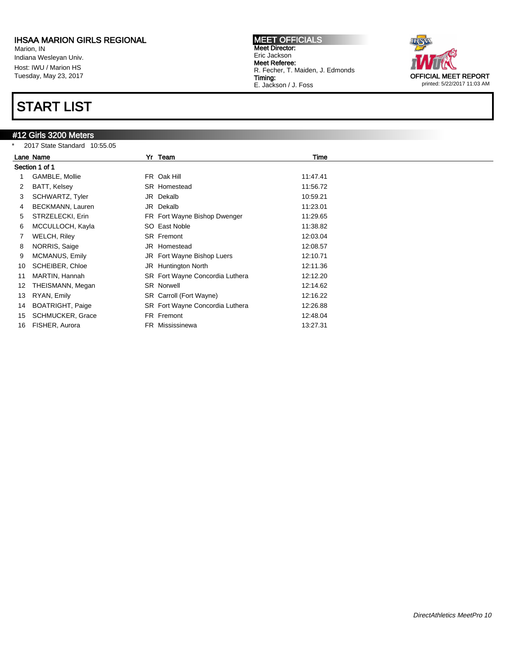Marion, IN Indiana Wesleyan Univ. Host: IWU / Marion HS Tuesday, May 23, 2017

### START LIST

### #12 Girls 3200 Meters

\* 2017 State Standard 10:55.05



|    | Lane Name               | Yr Team                         | Time     |  |
|----|-------------------------|---------------------------------|----------|--|
|    | Section 1 of 1          |                                 |          |  |
|    | GAMBLE, Mollie          | FR Oak Hill                     | 11:47.41 |  |
| 2  | BATT, Kelsey            | SR Homestead                    | 11:56.72 |  |
| 3  | SCHWARTZ, Tyler         | JR Dekalb                       | 10:59.21 |  |
| 4  | BECKMANN, Lauren        | JR Dekalb                       | 11:23.01 |  |
| 5  | STRZELECKI, Erin        | FR Fort Wayne Bishop Dwenger    | 11:29.65 |  |
| 6  | MCCULLOCH, Kayla        | SO East Noble                   | 11:38.82 |  |
|    | WELCH, Riley            | <b>SR</b> Fremont               | 12:03.04 |  |
| 8  | NORRIS, Saige           | JR Homestead                    | 12:08.57 |  |
| 9  | MCMANUS, Emily          | JR Fort Wayne Bishop Luers      | 12:10.71 |  |
| 10 | <b>SCHEIBER, Chloe</b>  | JR Huntington North             | 12:11.36 |  |
| 11 | MARTIN, Hannah          | SR Fort Wayne Concordia Luthera | 12:12.20 |  |
| 12 | THEISMANN, Megan        | <b>SR Norwell</b>               | 12:14.62 |  |
| 13 | RYAN, Emily             | SR Carroll (Fort Wayne)         | 12:16.22 |  |
| 14 | <b>BOATRIGHT, Paige</b> | SR Fort Wayne Concordia Luthera | 12:26.88 |  |
| 15 | <b>SCHMUCKER, Grace</b> | FR Fremont                      | 12:48.04 |  |
| 16 | FISHER, Aurora          | FR Mississinewa                 | 13:27.31 |  |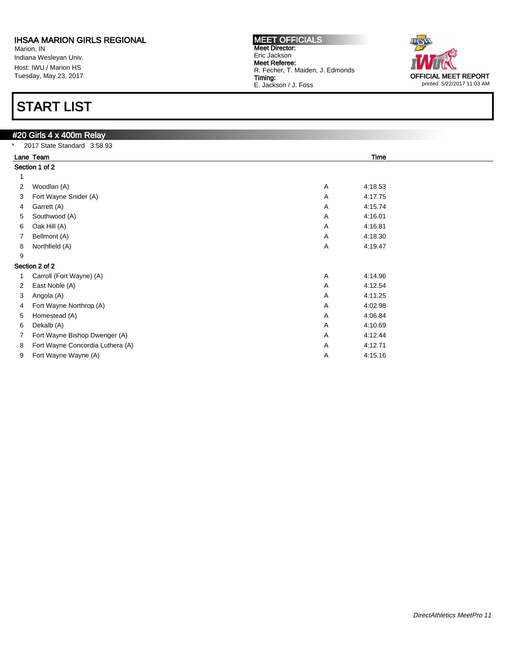Marion, IN Indiana Wesleyan Univ. Host: IWU / Marion HS Tuesday, May 23, 2017

# START LIST

#### #20 Girls 4 x 400m Relay \* 2017 State Standard 3:58.93 Lane Team Time Section 1 of 2 1 2 Woodlan (A) 4:18.53 3 Fort Wayne Snider (A) 2012 12:00 12:00 12:00 12:00 12:00 12:00 12:00 12:00 12:00 12:00 12:00 12:00 12:00 12:00 12:00 12:00 12:00 12:00 12:00 12:00 12:00 12:00 12:00 12:00 12:00 12:00 12:00 12:00 12:00 12:00 12:00 12:00 1 4 Garrett (A) A 4:15.74 5 Southwood (A)  $A = 4:16.01$ 6 Oak Hill (A) A 4:16.81 7 Bellmont (A) **A** 4:18.30 8 Northfield (A) 23 A 4:19.47 9 Section 2 of 2 1 Carroll (Fort Wayne) (A) 4:14.96 2 East Noble (A) A 4:12.54 3 Angola (A) A 4:11.25 4 Fort Wayne Northrop (A) **A** 4:02.98 5 Homestead (A) A 4:06.84 6 Dekalb (A) A 4:10.69 7 Fort Wayne Bishop Dwenger (A) **A** 4:12.44 8 Fort Wayne Concordia Luthera (A) <br>
4:12.71 9 Fort Wayne Wayne (A)  $A = 4:15.16$



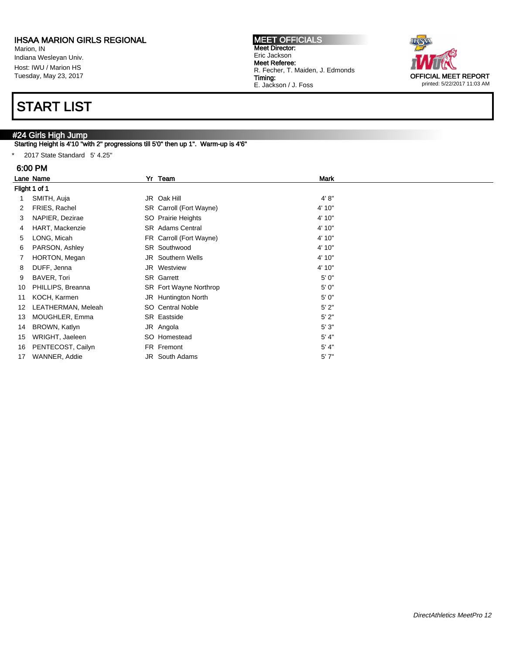Marion, IN Indiana Wesleyan Univ. Host: IWU / Marion HS Tuesday, May 23, 2017

# START LIST

### #24 Girls High Jump

Starting Height is 4'10 "with 2" progressions till 5'0" then up 1". Warm-up is 4'6"

\* 2017 State Standard 5' 4.25"

#### 6:00 PM

|             | Lane Name          |  | Yr Team                 | <b>Mark</b> |  |  |  |  |
|-------------|--------------------|--|-------------------------|-------------|--|--|--|--|
|             | Flight 1 of 1      |  |                         |             |  |  |  |  |
|             | SMITH, Auja        |  | JR Oak Hill             | 4' 8''      |  |  |  |  |
| 2           | FRIES, Rachel      |  | SR Carroll (Fort Wayne) | 4' 10"      |  |  |  |  |
| 3           | NAPIER, Dezirae    |  | SO Prairie Heights      | 4' 10"      |  |  |  |  |
| 4           | HART, Mackenzie    |  | <b>SR</b> Adams Central | 4' 10"      |  |  |  |  |
| 5           | LONG, Micah        |  | FR Carroll (Fort Wayne) | 4' 10"      |  |  |  |  |
| 6           | PARSON, Ashley     |  | SR Southwood            | 4' 10"      |  |  |  |  |
| $7^{\circ}$ | HORTON, Megan      |  | JR Southern Wells       | 4' 10"      |  |  |  |  |
| 8           | DUFF, Jenna        |  | JR Westview             | 4' 10"      |  |  |  |  |
| 9           | BAVER, Tori        |  | SR Garrett              | 5'0''       |  |  |  |  |
| 10          | PHILLIPS, Breanna  |  | SR Fort Wayne Northrop  | 5' 0"       |  |  |  |  |
| 11          | KOCH, Karmen       |  | JR Huntington North     | 5'0''       |  |  |  |  |
| 12          | LEATHERMAN, Meleah |  | SO Central Noble        | 5'2"        |  |  |  |  |
| 13          | MOUGHLER, Emma     |  | SR Eastside             | 5'2"        |  |  |  |  |
| 14          | BROWN, Katlyn      |  | JR Angola               | 5'3"        |  |  |  |  |
| 15          | WRIGHT, Jaeleen    |  | SO Homestead            | 5' 4"       |  |  |  |  |
| 16          | PENTECOST, Cailyn  |  | FR Fremont              | 5' 4"       |  |  |  |  |
| 17          | WANNER, Addie      |  | <b>JR</b> South Adams   | 5'7''       |  |  |  |  |

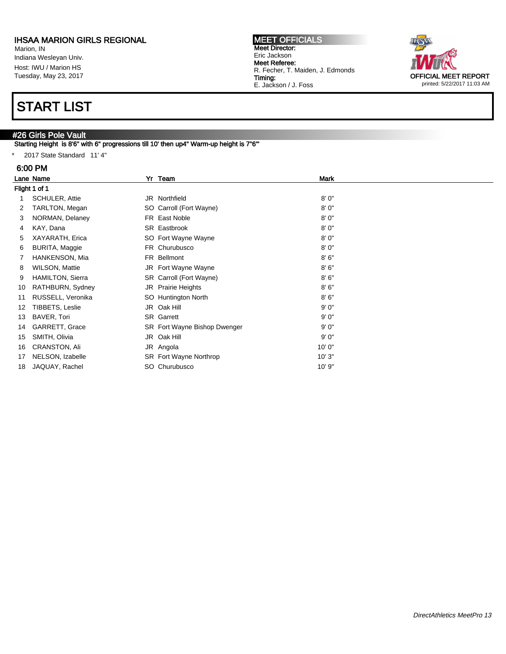Marion, IN Indiana Wesleyan Univ. Host: IWU / Marion HS Tuesday, May 23, 2017

# START LIST

### #26 Girls Pole Vault

Starting Height is 8'6" with 6" progressions till 10' then up4" Warm-up height is 7"6"'

\* 2017 State Standard 11' 4"

#### 6:00 PM

|    | Lane Name               | Yr Team                      | <b>Mark</b> |  |
|----|-------------------------|------------------------------|-------------|--|
|    | Flight 1 of 1           |                              |             |  |
|    | SCHULER, Attie          | JR Northfield                | 8'0''       |  |
| 2  | TARLTON, Megan          | SO Carroll (Fort Wayne)      | 8'0''       |  |
| 3  | NORMAN, Delaney         | FR East Noble                | 8'0''       |  |
| 4  | KAY, Dana               | SR Eastbrook                 | 8'0''       |  |
| 5  | XAYARATH, Erica         | SO Fort Wayne Wayne          | 8'0"        |  |
| 6  | <b>BURITA, Maggie</b>   | FR Churubusco                | 8'0''       |  |
|    | HANKENSON, Mia          | FR Bellmont                  | 8'6''       |  |
| 8  | WILSON, Mattie          | JR Fort Wayne Wayne          | 8'6''       |  |
| 9  | <b>HAMILTON, Sierra</b> | SR Carroll (Fort Wayne)      | 8'6''       |  |
| 10 | RATHBURN, Sydney        | JR Prairie Heights           | 8'6''       |  |
| 11 | RUSSELL, Veronika       | SO Huntington North          | 8'6''       |  |
| 12 | TIBBETS, Leslie         | JR Oak Hill                  | 9'0''       |  |
| 13 | BAVER, Tori             | <b>SR</b> Garrett            | 9'0''       |  |
| 14 | GARRETT, Grace          | SR Fort Wayne Bishop Dwenger | 9'0''       |  |
| 15 | SMITH, Olivia           | JR Oak Hill                  | 9'0''       |  |
| 16 | CRANSTON, Ali           | JR Angola                    | 10'0"       |  |
| 17 | NELSON, Izabelle        | SR Fort Wayne Northrop       | 10'3"       |  |
| 18 | JAQUAY, Rachel          | SO Churubusco                | 10' 9"      |  |

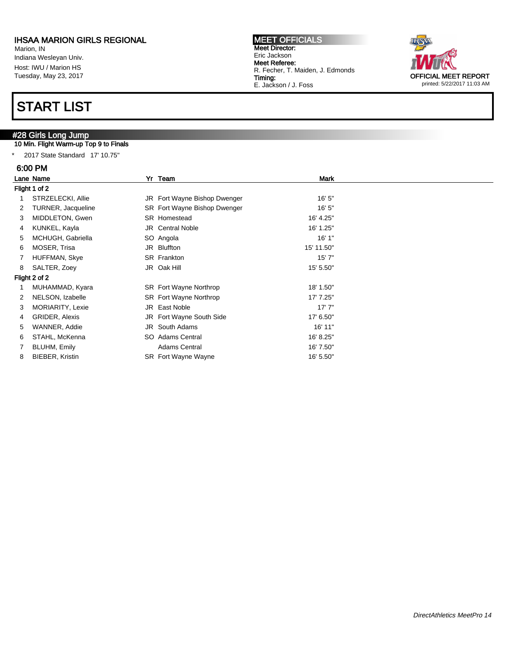Marion, IN Indiana Wesleyan Univ. Host: IWU / Marion HS Tuesday, May 23, 2017

# START LIST

### #28 Girls Long Jump

### 10 Min. Flight Warm-up Top 9 to Finals

\* 2017 State Standard 17' 10.75"

#### 6:00 PM

|               | Lane Name              |  | Yr Team                      | <b>Mark</b> |  |  |
|---------------|------------------------|--|------------------------------|-------------|--|--|
|               | Flight 1 of 2          |  |                              |             |  |  |
|               | STRZELECKI, Allie      |  | JR Fort Wayne Bishop Dwenger | 16'5''      |  |  |
| 2             | TURNER, Jacqueline     |  | SR Fort Wayne Bishop Dwenger | 16'5''      |  |  |
| 3             | MIDDLETON, Gwen        |  | SR Homestead                 | 16' 4.25"   |  |  |
| 4             | KUNKEL, Kayla          |  | <b>JR</b> Central Noble      | 16' 1.25"   |  |  |
| 5             | MCHUGH, Gabriella      |  | SO Angola                    | 16'1"       |  |  |
| 6             | MOSER, Trisa           |  | JR Bluffton                  | 15' 11.50"  |  |  |
|               | HUFFMAN, Skye          |  | SR Frankton                  | 15'7''      |  |  |
| 8             | SALTER, Zoey           |  | JR Oak Hill                  | 15' 5.50"   |  |  |
| Flight 2 of 2 |                        |  |                              |             |  |  |
|               | MUHAMMAD, Kyara        |  | SR Fort Wayne Northrop       | 18' 1.50"   |  |  |
| 2             | NELSON, Izabelle       |  | SR Fort Wayne Northrop       | 17' 7.25"   |  |  |
| 3             | MORIARITY, Lexie       |  | JR East Noble                | 17'7''      |  |  |
| 4             | GRIDER, Alexis         |  | JR Fort Wayne South Side     | 17' 6.50"   |  |  |
| 5             | WANNER, Addie          |  | JR South Adams               | 16' 11"     |  |  |
| 6             | STAHL, McKenna         |  | SO Adams Central             | 16' 8.25"   |  |  |
|               | BLUHM, Emily           |  | <b>Adams Central</b>         | 16' 7.50"   |  |  |
| 8             | <b>BIEBER, Kristin</b> |  | <b>SR</b> Fort Wayne Wayne   | 16' 5.50"   |  |  |

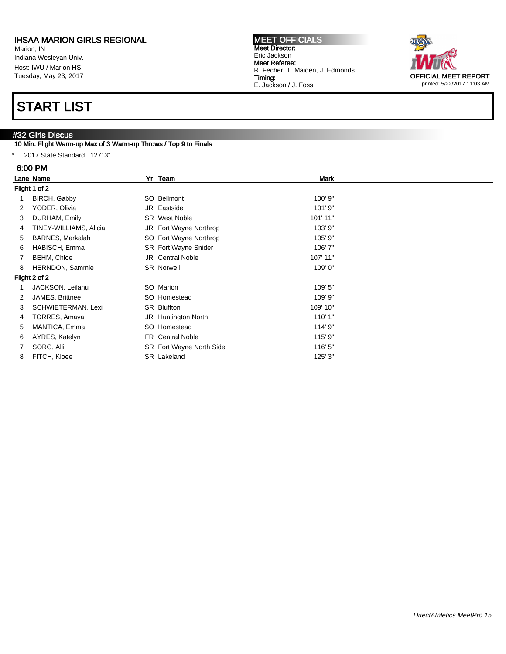Marion, IN Indiana Wesleyan Univ. Host: IWU / Marion HS Tuesday, May 23, 2017

## START LIST

#### #32 Girls Discus

10 Min. Flight Warm-up Max of 3 Warm-up Throws / Top 9 to Finals

\* 2017 State Standard 127' 3"

#### 6:00 PM

|               | Lane Name              |  | Yr Team                     | <b>Mark</b> |  |  |
|---------------|------------------------|--|-----------------------------|-------------|--|--|
|               | Flight 1 of 2          |  |                             |             |  |  |
| 1             | BIRCH, Gabby           |  | SO Bellmont                 | 100' 9"     |  |  |
| 2             | YODER, Olivia          |  | JR Eastside                 | 101'9"      |  |  |
| 3             | DURHAM, Emily          |  | <b>SR</b> West Noble        | 101' 11"    |  |  |
| 4             | TINEY-WILLIAMS, Alicia |  | JR Fort Wayne Northrop      | 103' 9"     |  |  |
| 5             | BARNES, Markalah       |  | SO Fort Wayne Northrop      | 105' 9"     |  |  |
| 6             | HABISCH, Emma          |  | <b>SR</b> Fort Wayne Snider | 106'7"      |  |  |
| 7             | BEHM, Chloe            |  | <b>JR</b> Central Noble     | 107' 11"    |  |  |
| 8             | HERNDON, Sammie        |  | SR Norwell                  | 109'0"      |  |  |
| Flight 2 of 2 |                        |  |                             |             |  |  |
|               | JACKSON, Leilanu       |  | SO Marion                   | 109' 5"     |  |  |
| 2             | JAMES, Brittnee        |  | SO Homestead                | 109' 9"     |  |  |
| 3             | SCHWIETERMAN, Lexi     |  | SR Bluffton                 | 109' 10"    |  |  |
| 4             | TORRES, Amaya          |  | JR Huntington North         | 110'1"      |  |  |
| 5             | MANTICA, Emma          |  | SO Homestead                | 114' 9"     |  |  |
| 6             | AYRES, Katelyn         |  | FR Central Noble            | 115' 9"     |  |  |
| $7^{\circ}$   | SORG, Alli             |  | SR Fort Wayne North Side    | 116' 5"     |  |  |
| 8             | FITCH, Kloee           |  | SR Lakeland                 | 125' 3"     |  |  |